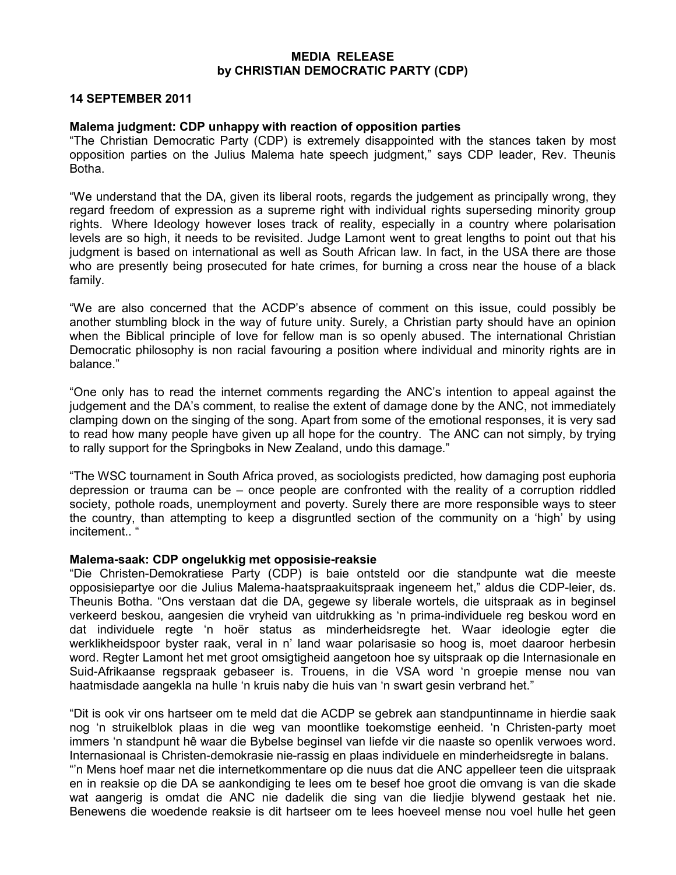#### MEDIA RELEASE by CHRISTIAN DEMOCRATIC PARTY (CDP)

## 14 SEPTEMBER 2011

#### Malema judgment: CDP unhappy with reaction of opposition parties

"The Christian Democratic Party (CDP) is extremely disappointed with the stances taken by most opposition parties on the Julius Malema hate speech judgment," says CDP leader, Rev. Theunis Botha.

"We understand that the DA, given its liberal roots, regards the judgement as principally wrong, they regard freedom of expression as a supreme right with individual rights superseding minority group rights. Where Ideology however loses track of reality, especially in a country where polarisation levels are so high, it needs to be revisited. Judge Lamont went to great lengths to point out that his judgment is based on international as well as South African law. In fact, in the USA there are those who are presently being prosecuted for hate crimes, for burning a cross near the house of a black family.

"We are also concerned that the ACDP's absence of comment on this issue, could possibly be another stumbling block in the way of future unity. Surely, a Christian party should have an opinion when the Biblical principle of love for fellow man is so openly abused. The international Christian Democratic philosophy is non racial favouring a position where individual and minority rights are in balance."

"One only has to read the internet comments regarding the ANC's intention to appeal against the judgement and the DA's comment, to realise the extent of damage done by the ANC, not immediately clamping down on the singing of the song. Apart from some of the emotional responses, it is very sad to read how many people have given up all hope for the country. The ANC can not simply, by trying to rally support for the Springboks in New Zealand, undo this damage."

"The WSC tournament in South Africa proved, as sociologists predicted, how damaging post euphoria depression or trauma can be – once people are confronted with the reality of a corruption riddled society, pothole roads, unemployment and poverty. Surely there are more responsible ways to steer the country, than attempting to keep a disgruntled section of the community on a 'high' by using incitement.. "

## Malema-saak: CDP ongelukkig met opposisie-reaksie

"Die Christen-Demokratiese Party (CDP) is baie ontsteld oor die standpunte wat die meeste opposisiepartye oor die Julius Malema-haatspraakuitspraak ingeneem het," aldus die CDP-leier, ds. Theunis Botha. "Ons verstaan dat die DA, gegewe sy liberale wortels, die uitspraak as in beginsel verkeerd beskou, aangesien die vryheid van uitdrukking as 'n prima-individuele reg beskou word en dat individuele regte 'n hoër status as minderheidsregte het. Waar ideologie egter die werklikheidspoor byster raak, veral in n' land waar polarisasie so hoog is, moet daaroor herbesin word. Regter Lamont het met groot omsigtigheid aangetoon hoe sy uitspraak op die Internasionale en Suid-Afrikaanse regspraak gebaseer is. Trouens, in die VSA word 'n groepie mense nou van haatmisdade aangekla na hulle 'n kruis naby die huis van 'n swart gesin verbrand het."

"Dit is ook vir ons hartseer om te meld dat die ACDP se gebrek aan standpuntinname in hierdie saak nog 'n struikelblok plaas in die weg van moontlike toekomstige eenheid. 'n Christen-party moet immers 'n standpunt hê waar die Bybelse beginsel van liefde vir die naaste so openlik verwoes word. Internasionaal is Christen-demokrasie nie-rassig en plaas individuele en minderheidsregte in balans. "'n Mens hoef maar net die internetkommentare op die nuus dat die ANC appelleer teen die uitspraak en in reaksie op die DA se aankondiging te lees om te besef hoe groot die omvang is van die skade wat aangerig is omdat die ANC nie dadelik die sing van die liedjie blywend gestaak het nie. Benewens die woedende reaksie is dit hartseer om te lees hoeveel mense nou voel hulle het geen